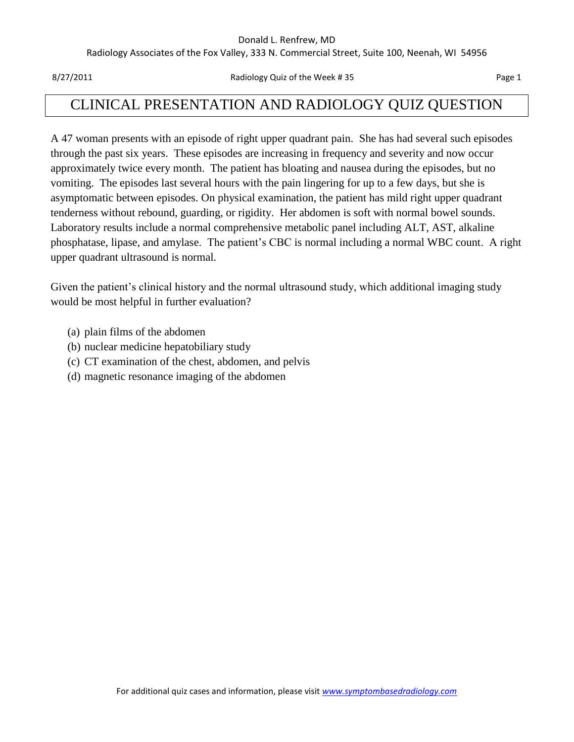#### Donald L. Renfrew, MD

Radiology Associates of the Fox Valley, 333 N. Commercial Street, Suite 100, Neenah, WI 54956

8/27/2011 **Radiology Quiz of the Week # 35** Page 1

# CLINICAL PRESENTATION AND RADIOLOGY QUIZ QUESTION

A 47 woman presents with an episode of right upper quadrant pain. She has had several such episodes through the past six years. These episodes are increasing in frequency and severity and now occur approximately twice every month. The patient has bloating and nausea during the episodes, but no vomiting. The episodes last several hours with the pain lingering for up to a few days, but she is asymptomatic between episodes. On physical examination, the patient has mild right upper quadrant tenderness without rebound, guarding, or rigidity. Her abdomen is soft with normal bowel sounds. Laboratory results include a normal comprehensive metabolic panel including ALT, AST, alkaline phosphatase, lipase, and amylase. The patient's CBC is normal including a normal WBC count. A right upper quadrant ultrasound is normal.

Given the patient's clinical history and the normal ultrasound study, which additional imaging study would be most helpful in further evaluation?

- (a) plain films of the abdomen
- (b) nuclear medicine hepatobiliary study
- (c) CT examination of the chest, abdomen, and pelvis
- (d) magnetic resonance imaging of the abdomen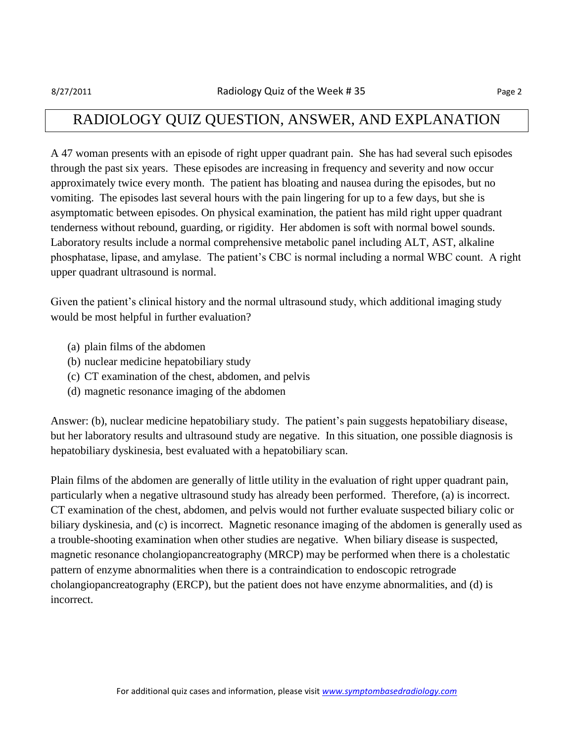### RADIOLOGY QUIZ QUESTION, ANSWER, AND EXPLANATION

A 47 woman presents with an episode of right upper quadrant pain. She has had several such episodes through the past six years. These episodes are increasing in frequency and severity and now occur approximately twice every month. The patient has bloating and nausea during the episodes, but no vomiting. The episodes last several hours with the pain lingering for up to a few days, but she is asymptomatic between episodes. On physical examination, the patient has mild right upper quadrant tenderness without rebound, guarding, or rigidity. Her abdomen is soft with normal bowel sounds. Laboratory results include a normal comprehensive metabolic panel including ALT, AST, alkaline phosphatase, lipase, and amylase. The patient's CBC is normal including a normal WBC count. A right upper quadrant ultrasound is normal.

Given the patient's clinical history and the normal ultrasound study, which additional imaging study would be most helpful in further evaluation?

- (a) plain films of the abdomen
- (b) nuclear medicine hepatobiliary study
- (c) CT examination of the chest, abdomen, and pelvis
- (d) magnetic resonance imaging of the abdomen

Answer: (b), nuclear medicine hepatobiliary study. The patient's pain suggests hepatobiliary disease, but her laboratory results and ultrasound study are negative. In this situation, one possible diagnosis is hepatobiliary dyskinesia, best evaluated with a hepatobiliary scan.

Plain films of the abdomen are generally of little utility in the evaluation of right upper quadrant pain, particularly when a negative ultrasound study has already been performed. Therefore, (a) is incorrect. CT examination of the chest, abdomen, and pelvis would not further evaluate suspected biliary colic or biliary dyskinesia, and (c) is incorrect. Magnetic resonance imaging of the abdomen is generally used as a trouble-shooting examination when other studies are negative. When biliary disease is suspected, magnetic resonance cholangiopancreatography (MRCP) may be performed when there is a cholestatic pattern of enzyme abnormalities when there is a contraindication to endoscopic retrograde cholangiopancreatography (ERCP), but the patient does not have enzyme abnormalities, and (d) is incorrect.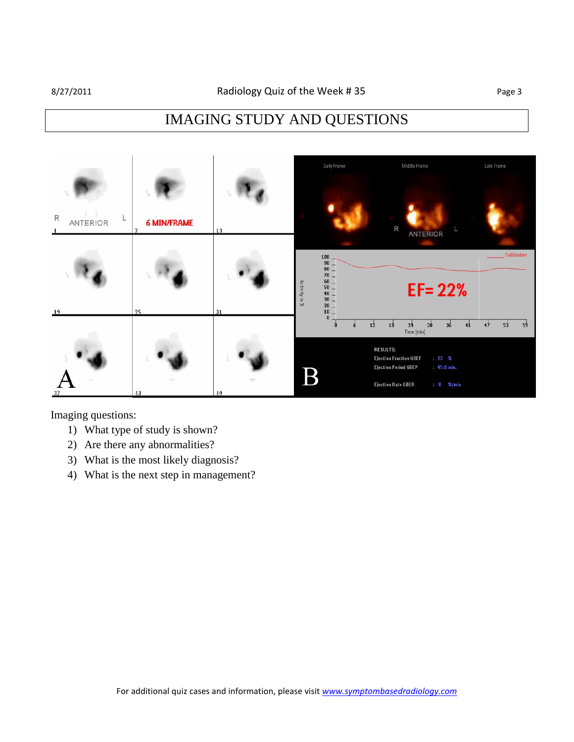# IMAGING STUDY AND QUESTIONS

| $\mathsf R$<br>ı.<br><b>ANTERIOR</b> | <b>6 MIN/FRAME</b><br>$\overline{ }$ | L3      | Early Frame                                                                                                                                                                         | Middle Frame<br>R<br>ANTERIOR                                                                                                                                                                                | Late Frame     |
|--------------------------------------|--------------------------------------|---------|-------------------------------------------------------------------------------------------------------------------------------------------------------------------------------------|--------------------------------------------------------------------------------------------------------------------------------------------------------------------------------------------------------------|----------------|
| 19                                   | 25                                   | $_{31}$ | $100$ .<br>$\begin{array}{c} 90 \\ 80 \end{array} -$<br>$70 -$<br>$\begin{array}{c} 60 \\ 50 \end{array} -$<br>Activity in %<br>$\begin{array}{c} 40 \\ 30 \\ 20 \\ 10 \end{array}$ | $EF = 22%$                                                                                                                                                                                                   | Gallbladder    |
| 37                                   | 43                                   | 49      | $\bf{0}$<br>$\mathbf{0}$<br>$\rm{B}$                                                                                                                                                | 30<br>36<br>41<br>12<br>24<br>18<br>Time [min]<br><b>RESULTS:</b><br><b>Ejection Fraction GBEF</b><br>: 22 %<br><b>Ejection Period GBEP</b><br>45.0 min.<br><b>Ejection Rate GBER</b><br>$0 \frac{2}{3}$ min | 53<br>47<br>59 |

Imaging questions:

- 1) What type of study is shown?
- 2) Are there any abnormalities?
- 3) What is the most likely diagnosis?
- 4) What is the next step in management?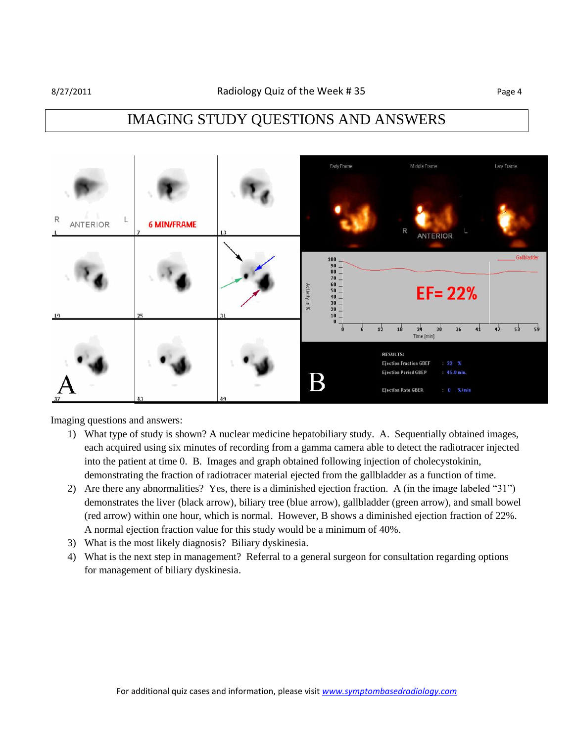### IMAGING STUDY QUESTIONS AND ANSWERS



Imaging questions and answers:

- 1) What type of study is shown? A nuclear medicine hepatobiliary study. A. Sequentially obtained images, each acquired using six minutes of recording from a gamma camera able to detect the radiotracer injected into the patient at time 0. B. Images and graph obtained following injection of cholecystokinin, demonstrating the fraction of radiotracer material ejected from the gallbladder as a function of time.
- 2) Are there any abnormalities? Yes, there is a diminished ejection fraction. A (in the image labeled "31") demonstrates the liver (black arrow), biliary tree (blue arrow), gallbladder (green arrow), and small bowel (red arrow) within one hour, which is normal. However, B shows a diminished ejection fraction of 22%. A normal ejection fraction value for this study would be a minimum of 40%.
- 3) What is the most likely diagnosis? Biliary dyskinesia.
- 4) What is the next step in management? Referral to a general surgeon for consultation regarding options for management of biliary dyskinesia.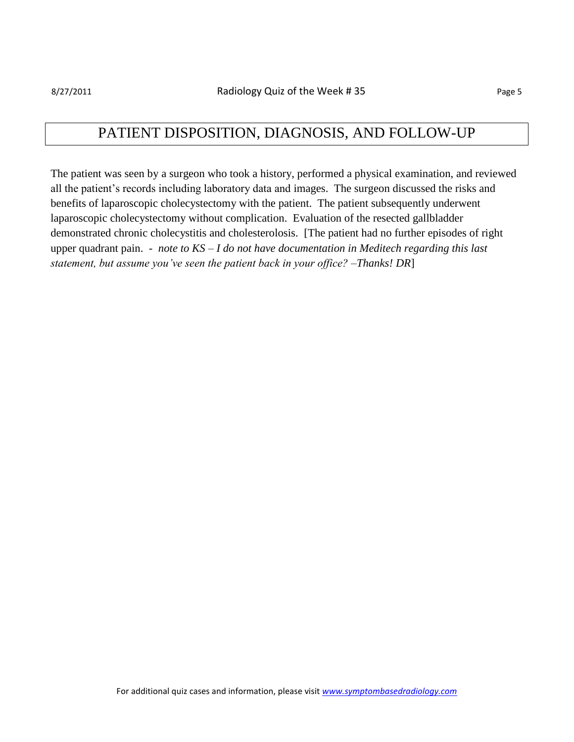#### PATIENT DISPOSITION, DIAGNOSIS, AND FOLLOW-UP

The patient was seen by a surgeon who took a history, performed a physical examination, and reviewed all the patient's records including laboratory data and images. The surgeon discussed the risks and benefits of laparoscopic cholecystectomy with the patient. The patient subsequently underwent laparoscopic cholecystectomy without complication. Evaluation of the resected gallbladder demonstrated chronic cholecystitis and cholesterolosis. [The patient had no further episodes of right upper quadrant pain. - *note to KS – I do not have documentation in Meditech regarding this last statement, but assume you've seen the patient back in your office? –Thanks! DR*]